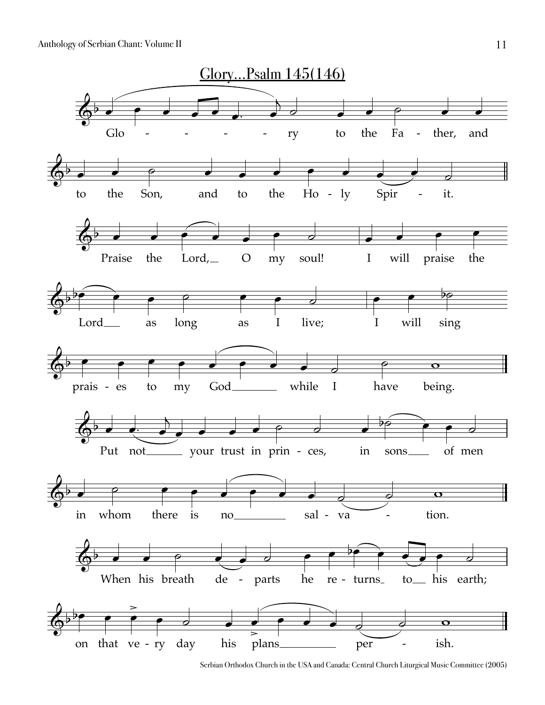Anthology of Serbian Chant: Volume II



Serbian Orthodox Church in the USA and Canada: Central Church Liturgical Music Committee (2005)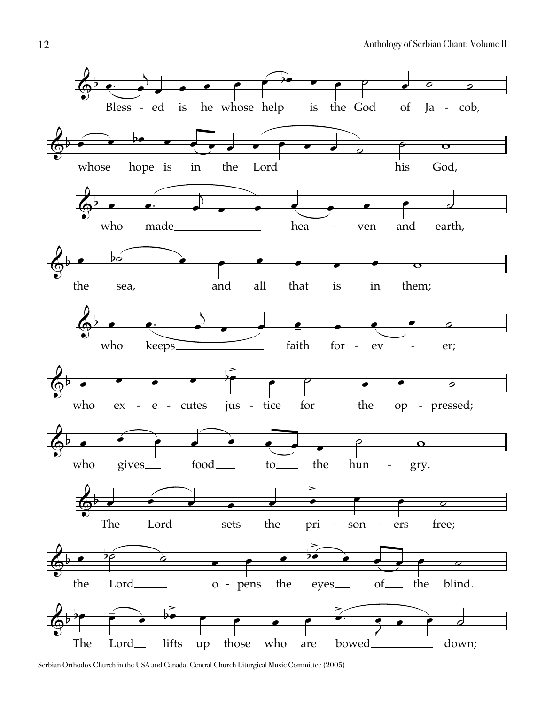

Serbian Orthodox Church in the USA and Canada: Central Church Liturgical Music Committee (2005)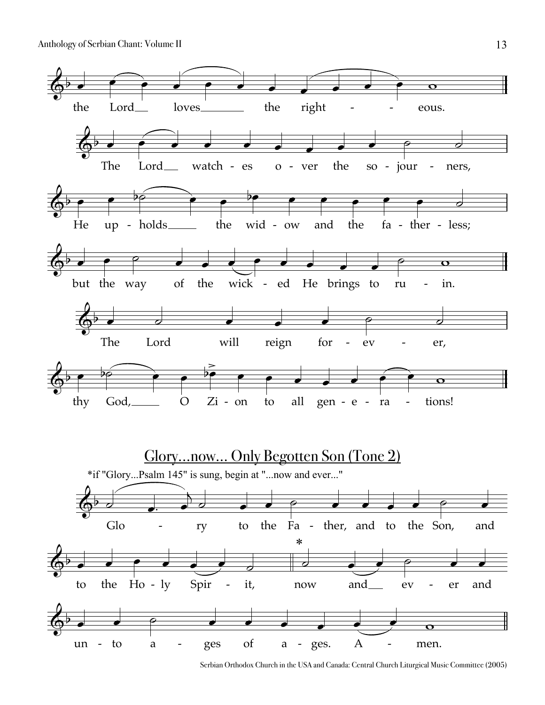Anthology of Serbian Chant: Volume II



Serbian Orthodox Church in the USA and Canada: Central Church Liturgical Music Committee (2005)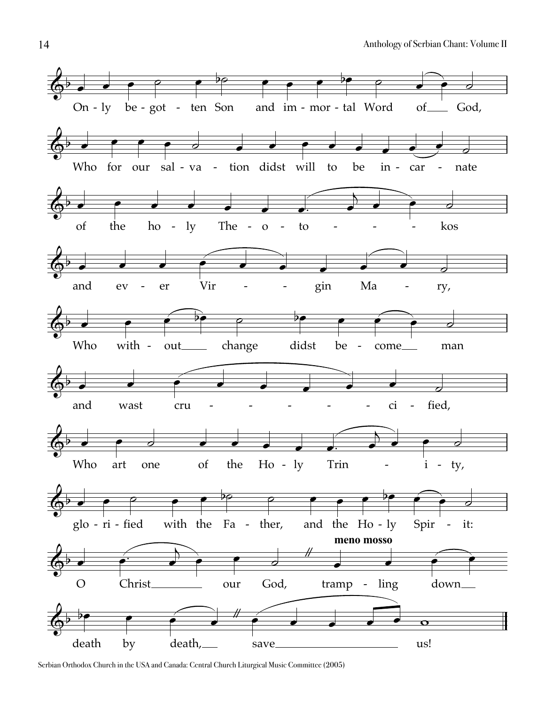

Serbian Orthodox Church in the USA and Canada: Central Church Liturgical Music Committee (2005)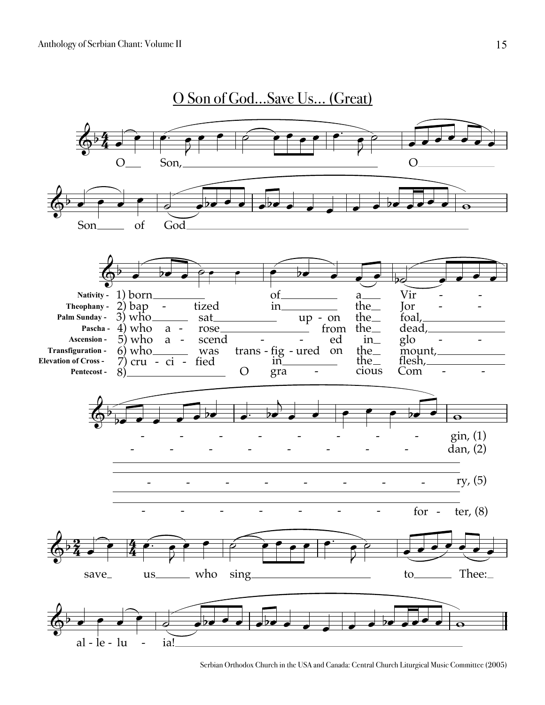

Serbian Orthodox Church in the USA and Canada: Central Church Liturgical Music Committee (2005)